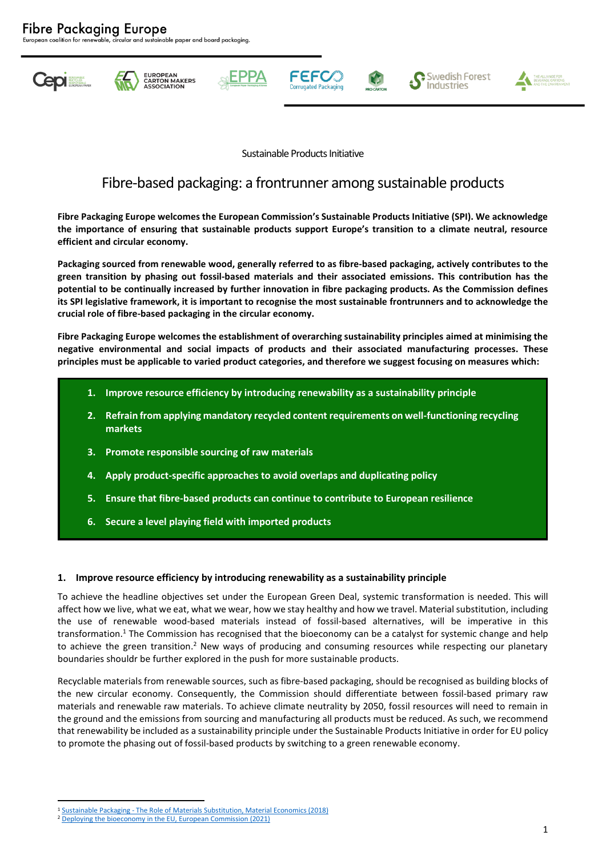ble, circular and sustainable paper and board packaging.













Sustainable Products Initiative

# Fibre-based packaging: a frontrunner among sustainable products

**Fibre Packaging Europe welcomes the European Commission's Sustainable Products Initiative (SPI). We acknowledge the importance of ensuring that sustainable products support Europe's transition to a climate neutral, resource efficient and circular economy.** 

**Packaging sourced from renewable wood, generally referred to as fibre-based packaging, actively contributes to the green transition by phasing out fossil-based materials and their associated emissions. This contribution has the potential to be continually increased by further innovation in fibre packaging products. As the Commission defines its SPI legislative framework, it is important to recognise the most sustainable frontrunners and to acknowledge the crucial role of fibre-based packaging in the circular economy.** 

**Fibre Packaging Europe welcomes the establishment of overarching sustainability principles aimed at minimising the negative environmental and social impacts of products and their associated manufacturing processes. These principles must be applicable to varied product categories, and therefore we suggest focusing on measures which:**

- **1. Improve resource efficiency by introducing renewability as a sustainability principle**
- **2. Refrain from applying mandatory recycled content requirements on well-functioning recycling markets**
- **3. Promote responsible sourcing of raw materials**
- **4. Apply product-specific approaches to avoid overlaps and duplicating policy**
- **5. Ensure that fibre-based products can continue to contribute to European resilience**
- **6. Secure a level playing field with imported products**

#### **1. Improve resource efficiency by introducing renewability as a sustainability principle**

To achieve the headline objectives set under the European Green Deal, systemic transformation is needed. This will affect how we live, what we eat, what we wear, how we stay healthy and how we travel. Material substitution, including the use of renewable wood-based materials instead of fossil-based alternatives, will be imperative in this transformation.<sup>1</sup> The Commission has recognised that the bioeconomy can be a catalyst for systemic change and help to achieve the green transition.<sup>2</sup> New ways of producing and consuming resources while respecting our planetary boundaries shouldr be further explored in the push for more sustainable products.

Recyclable materials from renewable sources, such as fibre-based packaging, should be recognised as building blocks of the new circular economy. Consequently, the Commission should differentiate between fossil-based primary raw materials and renewable raw materials. To achieve climate neutrality by 2050, fossil resources will need to remain in the ground and the emissions from sourcing and manufacturing all products must be reduced. As such, we recommend that renewability be included as a sustainability principle under the Sustainable Products Initiative in order for EU policy to promote the phasing out of fossil-based products by switching to a green renewable economy.

<sup>1</sup> Sustainable Packaging - The Role of Materials [Substitution, Material Economics \(2018\)](https://materialeconomics.com/publications/sustainable-packaging)

<sup>2</sup> [Deploying the bioeconomy in the EU, European Commission \(2021\)](https://op.europa.eu/en/publication-detail/-/publication/2cf89630-e2bc-11eb-895a-01aa75ed71a1/)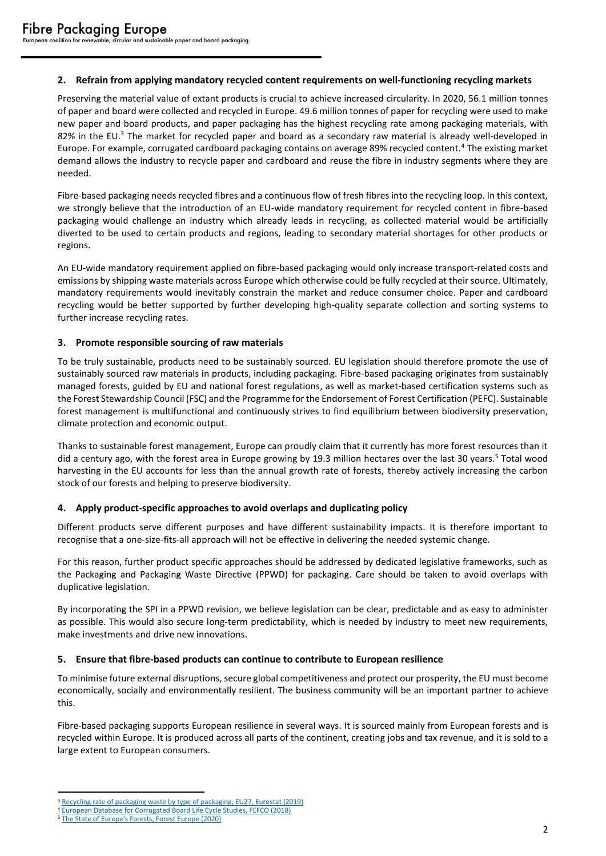## **2. Refrain from applying mandatory recycled content requirements on well-functioning recycling markets**

Preserving the material value of extant products is crucial to achieve increased circularity. In 2020, 56.1 million tonnes of paper and board were collected and recycled in Europe. 49.6 million tonnes of paper for recycling were used to make new paper and board products, and paper packaging has the highest recycling rate among packaging materials, with 82% in the EU.<sup>3</sup> The market for recycled paper and board as a secondary raw material is already well-developed in Europe. For example, corrugated cardboard packaging contains on average 89% recycled content.<sup>4</sup> The existing market demand allows the industry to recycle paper and cardboard and reuse the fibre in industry segments where they are needed.

Fibre-based packaging needs recycled fibres and a continuous flow of fresh fibres into the recycling loop. In this context, we strongly believe that the introduction of an EU-wide mandatory requirement for recycled content in fibre-based packaging would challenge an industry which already leads in recycling, as collected material would be artificially diverted to be used to certain products and regions, leading to secondary material shortages for other products or regions.

An EU-wide mandatory requirement applied on fibre-based packaging would only increase transport-related costs and emissions by shipping waste materials across Europe which otherwise could be fully recycled at their source. Ultimately, mandatory requirements would inevitably constrain the market and reduce consumer choice. Paper and cardboard recycling would be better supported by further developing high-quality separate collection and sorting systems to further increase recycling rates.

## **3. Promote responsible sourcing of raw materials**

To be truly sustainable, products need to be sustainably sourced. EU legislation should therefore promote the use of sustainably sourced raw materials in products, including packaging. Fibre-based packaging originates from sustainably managed forests, guided by EU and national forest regulations, as well as market-based certification systems such as the Forest Stewardship Council (FSC) and the Programme for the Endorsement of Forest Certification (PEFC). Sustainable forest management is multifunctional and continuously strives to find equilibrium between biodiversity preservation, climate protection and economic output.

Thanks to sustainable forest management, Europe can proudly claim that it currently has more forest resources than it did a century ago, with the forest area in Europe growing by 19.3 million hectares over the last 30 years.<sup>5</sup> Total wood harvesting in the EU accounts for less than the annual growth rate of forests, thereby actively increasing the carbon stock of our forests and helping to preserve biodiversity.

## **4. Apply product-specific approaches to avoid overlaps and duplicating policy**

Different products serve different purposes and have different sustainability impacts. It is therefore important to recognise that a one-size-fits-all approach will not be effective in delivering the needed systemic change.

For this reason, further product specific approaches should be addressed by dedicated legislative frameworks, such as the Packaging and Packaging Waste Directive (PPWD) for packaging. Care should be taken to avoid overlaps with duplicative legislation.

By incorporating the SPI in a PPWD revision, we believe legislation can be clear, predictable and as easy to administer as possible. This would also secure long-term predictability, which is needed by industry to meet new requirements, make investments and drive new innovations.

## **5. Ensure that fibre-based products can continue to contribute to European resilience**

To minimise future external disruptions, secure global competitiveness and protect our prosperity, the EU must become economically, socially and environmentally resilient. The business community will be an important partner to achieve this.

Fibre-based packaging supports European resilience in several ways. It is sourced mainly from European forests and is recycled within Europe. It is produced across all parts of the continent, creating jobs and tax revenue, and it is sold to a large extent to European consumers.

<sup>&</sup>lt;sup>3</sup> [Recycling rate of packaging waste by type of packaging, EU27, Eurostat \(2019\)](https://ec.europa.eu/eurostat/databrowser/view/ENV_WASPACR__custom_1717115/bookmark/table?lang=en&bookmarkId=d73804e4-e7d8-464d-9d5d-c9f1019d3fcf)

<sup>4</sup> [European Database for Corrugated Board Life Cycle Studies, FEFCO \(2018\)](https://www.fefco.org/2018-european-database-corrugated-board-life-cycle-studies-revised)

<sup>5</sup> [The State of Europe's Forests, Forest Europe \(2020\)](https://foresteurope.org/wp-content/uploads/2016/08/SoEF_2020.pdf)